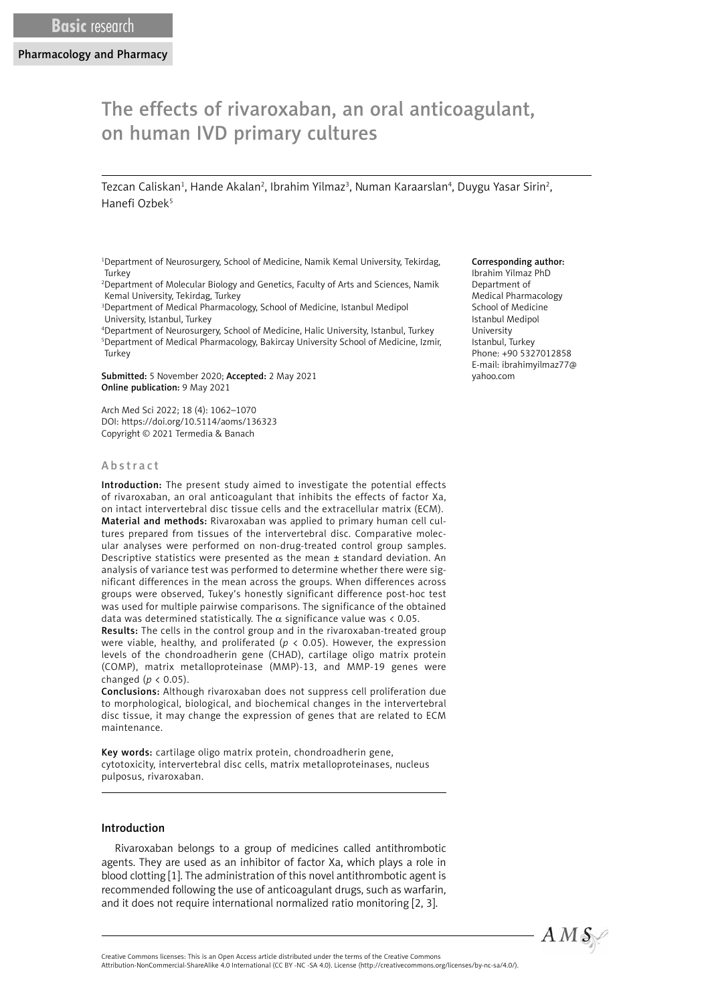# The effects of rivaroxaban, an oral anticoagulant, on human IVD primary cultures

Tezcan Caliskan<sup>1</sup>, Hande Akalan<sup>2</sup>, Ibrahim Yilmaz<sup>3</sup>, Numan Karaarslan<sup>4</sup>, Duygu Yasar Sirin<sup>2</sup>, Hanefi Ozbek<sup>5</sup>

1 Department of Neurosurgery, School of Medicine, Namik Kemal University, Tekirdag, **Turkey** 

2 Department of Molecular Biology and Genetics, Faculty of Arts and Sciences, Namik Kemal University, Tekirdag, Turkey

3 Department of Medical Pharmacology, School of Medicine, Istanbul Medipol University, Istanbul, Turkey

4 Department of Neurosurgery, School of Medicine, Halic University, Istanbul, Turkey 5 Department of Medical Pharmacology, Bakircay University School of Medicine, Izmir, Turkey

Submitted: 5 November 2020; Accepted: 2 May 2021 Online publication: 9 May 2021

Arch Med Sci 2022; 18 (4): 1062–1070 DOI: https://doi.org/10.5114/aoms/136323 Copyright © 2021 Termedia & Banach

# Abstract

Introduction: The present study aimed to investigate the potential effects of rivaroxaban, an oral anticoagulant that inhibits the effects of factor Xa, on intact intervertebral disc tissue cells and the extracellular matrix (ECM). Material and methods: Rivaroxaban was applied to primary human cell cultures prepared from tissues of the intervertebral disc. Comparative molecular analyses were performed on non-drug-treated control group samples. Descriptive statistics were presented as the mean ± standard deviation. An analysis of variance test was performed to determine whether there were significant differences in the mean across the groups. When differences across groups were observed, Tukey's honestly significant difference post-hoc test was used for multiple pairwise comparisons. The significance of the obtained data was determined statistically. The  $\alpha$  significance value was < 0.05.

Results: The cells in the control group and in the rivaroxaban-treated group were viable, healthy, and proliferated ( $p < 0.05$ ). However, the expression levels of the chondroadherin gene (CHAD), cartilage oligo matrix protein (COMP), matrix metalloproteinase (MMP)-13, and MMP-19 genes were changed (*p* < 0.05).

Conclusions: Although rivaroxaban does not suppress cell proliferation due to morphological, biological, and biochemical changes in the intervertebral disc tissue, it may change the expression of genes that are related to ECM maintenance.

Key words: cartilage oligo matrix protein, chondroadherin gene, cytotoxicity, intervertebral disc cells, matrix metalloproteinases, nucleus pulposus, rivaroxaban.

# Introduction

Rivaroxaban belongs to a group of medicines called antithrombotic agents. They are used as an inhibitor of factor Xa, which plays a role in blood clotting [1]. The administration of this novel antithrombotic agent is recommended following the use of anticoagulant drugs, such as warfarin, and it does not require international normalized ratio monitoring [2, 3].

#### Corresponding author:

Ibrahim Yilmaz PhD Department of Medical Pharmacology School of Medicine Istanbul Medipol University Istanbul, Turkey Phone: +90 5327012858 E-mail: ibrahimyilmaz77@ yahoo.com



Attribution-NonCommercial-ShareAlike 4.0 International (CC BY -NC -SA 4.0). License (http://creativecommons.org/licenses/by-nc-sa/4.0/).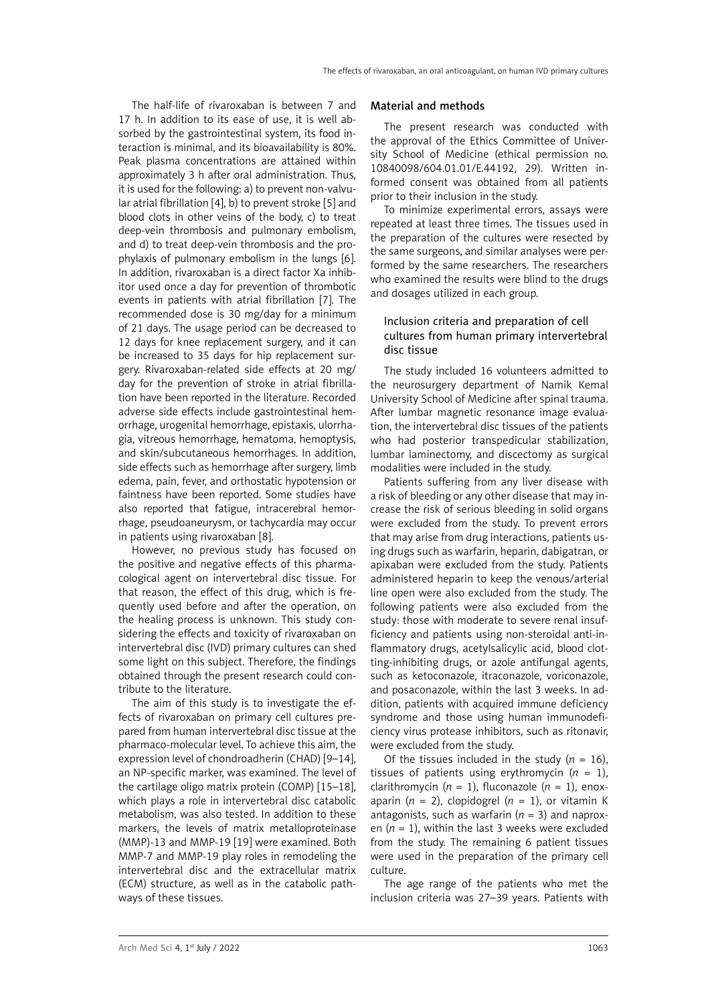The half-life of rivaroxaban is between 7 and 17 h. In addition to its ease of use, it is well absorbed by the gastrointestinal system, its food interaction is minimal, and its bioavailability is 80%. Peak plasma concentrations are attained within approximately 3 h after oral administration. Thus, it is used for the following: a) to prevent non-valvular atrial fibrillation [4], b) to prevent stroke [5] and blood clots in other veins of the body, c) to treat deep-vein thrombosis and pulmonary embolism, and d) to treat deep-vein thrombosis and the prophylaxis of pulmonary embolism in the lungs [6]. In addition, rivaroxaban is a direct factor Xa inhibitor used once a day for prevention of thrombotic events in patients with atrial fibrillation [7]. The recommended dose is 30 mg/day for a minimum of 21 days. The usage period can be decreased to 12 days for knee replacement surgery, and it can be increased to 35 days for hip replacement surgery. Rivaroxaban-related side effects at 20 mg/ day for the prevention of stroke in atrial fibrillation have been reported in the literature. Recorded adverse side effects include gastrointestinal hemorrhage, urogenital hemorrhage, epistaxis, ulorrhagia, vitreous hemorrhage, hematoma, hemoptysis, and skin/subcutaneous hemorrhages. In addition, side effects such as hemorrhage after surgery, limb edema, pain, fever, and orthostatic hypotension or faintness have been reported. Some studies have also reported that fatigue, intracerebral hemorrhage, pseudoaneurysm, or tachycardia may occur in patients using rivaroxaban [8].

However, no previous study has focused on the positive and negative effects of this pharmacological agent on intervertebral disc tissue. For that reason, the effect of this drug, which is frequently used before and after the operation, on the healing process is unknown. This study considering the effects and toxicity of rivaroxaban on intervertebral disc (IVD) primary cultures can shed some light on this subject. Therefore, the findings obtained through the present research could contribute to the literature.

The aim of this study is to investigate the effects of rivaroxaban on primary cell cultures prepared from human intervertebral disc tissue at the pharmaco-molecular level. To achieve this aim, the expression level of chondroadherin (CHAD) [9–14], an NP-specific marker, was examined. The level of the cartilage oligo matrix protein (COMP) [15–18], which plays a role in intervertebral disc catabolic metabolism, was also tested. In addition to these markers, the levels of matrix metalloproteinase (MMP)-13 and MMP-19 [19] were examined. Both MMP-7 and MMP-19 play roles in remodeling the intervertebral disc and the extracellular matrix (ECM) structure, as well as in the catabolic pathways of these tissues.

#### Material and methods

The present research was conducted with the approval of the Ethics Committee of University School of Medicine (ethical permission no. 10840098/604.01.01/E.44192, 29). Written informed consent was obtained from all patients prior to their inclusion in the study.

To minimize experimental errors, assays were repeated at least three times. The tissues used in the preparation of the cultures were resected by the same surgeons, and similar analyses were performed by the same researchers. The researchers who examined the results were blind to the drugs and dosages utilized in each group.

# Inclusion criteria and preparation of cell cultures from human primary intervertebral disc tissue

The study included 16 volunteers admitted to the neurosurgery department of Namik Kemal University School of Medicine after spinal trauma. After lumbar magnetic resonance image evaluation, the intervertebral disc tissues of the patients who had posterior transpedicular stabilization, lumbar laminectomy, and discectomy as surgical modalities were included in the study.

Patients suffering from any liver disease with a risk of bleeding or any other disease that may increase the risk of serious bleeding in solid organs were excluded from the study. To prevent errors that may arise from drug interactions, patients using drugs such as warfarin, heparin, dabigatran, or apixaban were excluded from the study. Patients administered heparin to keep the venous/arterial line open were also excluded from the study. The following patients were also excluded from the study: those with moderate to severe renal insufficiency and patients using non-steroidal anti-inflammatory drugs, acetylsalicylic acid, blood clotting-inhibiting drugs, or azole antifungal agents, such as ketoconazole, itraconazole, voriconazole, and posaconazole, within the last 3 weeks. In addition, patients with acquired immune deficiency syndrome and those using human immunodeficiency virus protease inhibitors, such as ritonavir, were excluded from the study.

Of the tissues included in the study  $(n = 16)$ , tissues of patients using erythromycin (*n* = 1), clarithromycin ( $n = 1$ ), fluconazole ( $n = 1$ ), enoxaparin ( $n = 2$ ), clopidogrel ( $n = 1$ ), or vitamin K antagonists, such as warfarin  $(n = 3)$  and naproxen  $(n = 1)$ , within the last 3 weeks were excluded from the study. The remaining 6 patient tissues were used in the preparation of the primary cell culture.

The age range of the patients who met the inclusion criteria was 27–39 years. Patients with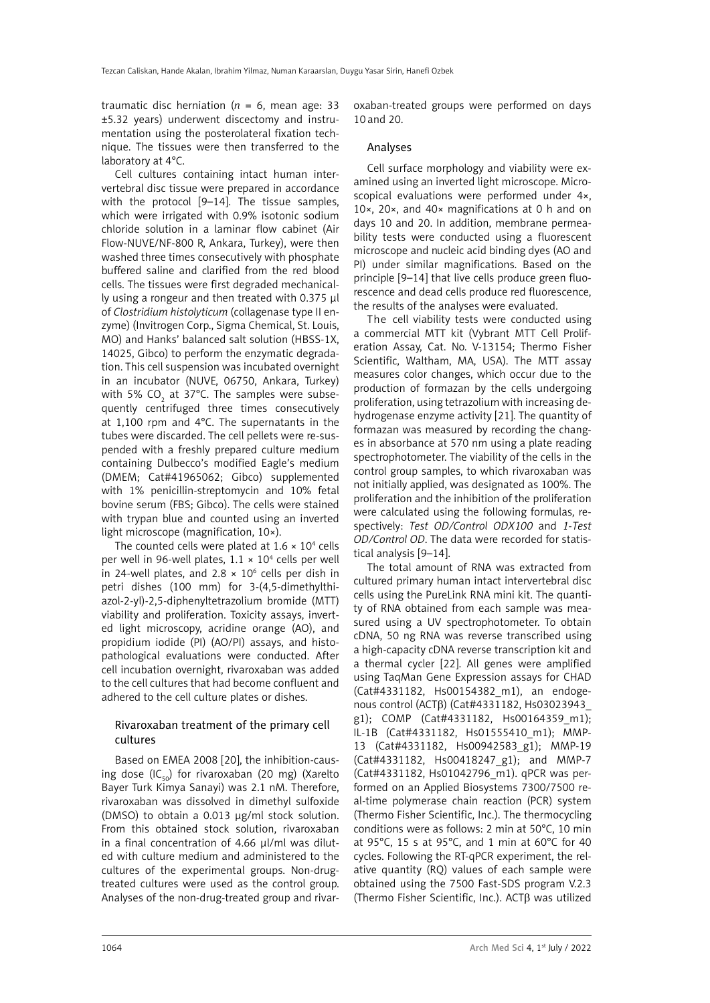traumatic disc herniation ( $n = 6$ , mean age: 33 ±5.32 years) underwent discectomy and instrumentation using the posterolateral fixation technique. The tissues were then transferred to the laboratory at 4°C.

Cell cultures containing intact human intervertebral disc tissue were prepared in accordance with the protocol [9–14]. The tissue samples, which were irrigated with 0.9% isotonic sodium chloride solution in a laminar flow cabinet (Air Flow-NUVE/NF-800 R, Ankara, Turkey), were then washed three times consecutively with phosphate buffered saline and clarified from the red blood cells. The tissues were first degraded mechanically using a rongeur and then treated with 0.375 µl of *Clostridium histolyticum* (collagenase type II enzyme) (Invitrogen Corp., Sigma Chemical, St. Louis, MO) and Hanks' balanced salt solution (HBSS-1X, 14025, Gibco) to perform the enzymatic degradation. This cell suspension was incubated overnight in an incubator (NUVE, 06750, Ankara, Turkey) with 5% CO $_{_{2}}$  at 37°C. The samples were subsequently centrifuged three times consecutively at 1,100 rpm and 4°C. The supernatants in the tubes were discarded. The cell pellets were re-suspended with a freshly prepared culture medium containing Dulbecco's modified Eagle's medium (DMEM; Cat#41965062; Gibco) supplemented with 1% penicillin-streptomycin and 10% fetal bovine serum (FBS; Gibco). The cells were stained with trypan blue and counted using an inverted light microscope (magnification, 10×).

The counted cells were plated at  $1.6 \times 10^4$  cells per well in 96-well plates,  $1.1 \times 10^4$  cells per well in 24-well plates, and  $2.8 \times 10^6$  cells per dish in petri dishes (100 mm) for 3-(4,5-dimethylthiazol-2-yl)-2,5-diphenyltetrazolium bromide (MTT) viability and proliferation. Toxicity assays, inverted light microscopy, acridine orange (AO), and propidium iodide (PI) (AO/PI) assays, and histopathological evaluations were conducted. After cell incubation overnight, rivaroxaban was added to the cell cultures that had become confluent and adhered to the cell culture plates or dishes.

# Rivaroxaban treatment of the primary cell cultures

Based on EMEA 2008 [20], the inhibition-causing dose  $(IC_{50})$  for rivaroxaban (20 mg) (Xarelto Bayer Turk Kimya Sanayi) was 2.1 nM. Therefore, rivaroxaban was dissolved in dimethyl sulfoxide (DMSO) to obtain a 0.013 µg/ml stock solution. From this obtained stock solution, rivaroxaban in a final concentration of 4.66 µl/ml was diluted with culture medium and administered to the cultures of the experimental groups. Non-drugtreated cultures were used as the control group. Analyses of the non-drug-treated group and rivaroxaban-treated groups were performed on days 10 and 20.

### Analyses

Cell surface morphology and viability were examined using an inverted light microscope. Microscopical evaluations were performed under 4×, 10×, 20×, and 40× magnifications at 0 h and on days 10 and 20. In addition, membrane permeability tests were conducted using a fluorescent microscope and nucleic acid binding dyes (AO and PI) under similar magnifications. Based on the principle [9–14] that live cells produce green fluorescence and dead cells produce red fluorescence, the results of the analyses were evaluated.

The cell viability tests were conducted using a commercial MTT kit (Vybrant MTT Cell Proliferation Assay, Cat. No. V-13154; Thermo Fisher Scientific, Waltham, MA, USA). The MTT assay measures color changes, which occur due to the production of formazan by the cells undergoing proliferation, using tetrazolium with increasing dehydrogenase enzyme activity [21]. The quantity of formazan was measured by recording the changes in absorbance at 570 nm using a plate reading spectrophotometer. The viability of the cells in the control group samples, to which rivaroxaban was not initially applied, was designated as 100%. The proliferation and the inhibition of the proliferation were calculated using the following formulas, respectively: *Test OD/Control ODX100* and *1-Test OD/Control OD*. The data were recorded for statistical analysis [9–14].

The total amount of RNA was extracted from cultured primary human intact intervertebral disc cells using the PureLink RNA mini kit. The quantity of RNA obtained from each sample was measured using a UV spectrophotometer. To obtain cDNA, 50 ng RNA was reverse transcribed using a high-capacity cDNA reverse transcription kit and a thermal cycler [22]. All genes were amplified using TaqMan Gene Expression assays for CHAD (Cat#4331182, Hs00154382\_m1), an endogenous control (ACTβ) (Cat#4331182, Hs03023943\_ g1); COMP (Cat#4331182, Hs00164359\_m1); IL-1B (Cat#4331182, Hs01555410\_m1); MMP-13 (Cat#4331182, Hs00942583\_g1); MMP-19 (Cat#4331182, Hs00418247\_g1); and MMP-7 (Cat#4331182, Hs01042796\_m1). qPCR was performed on an Applied Biosystems 7300/7500 real-time polymerase chain reaction (PCR) system (Thermo Fisher Scientific, Inc.). The thermocycling conditions were as follows: 2 min at 50°C, 10 min at 95°C, 15 s at 95°C, and 1 min at 60°C for 40 cycles. Following the RT-qPCR experiment, the relative quantity (RQ) values of each sample were obtained using the 7500 Fast-SDS program V.2.3 (Thermo Fisher Scientific, Inc.). ACTβ was utilized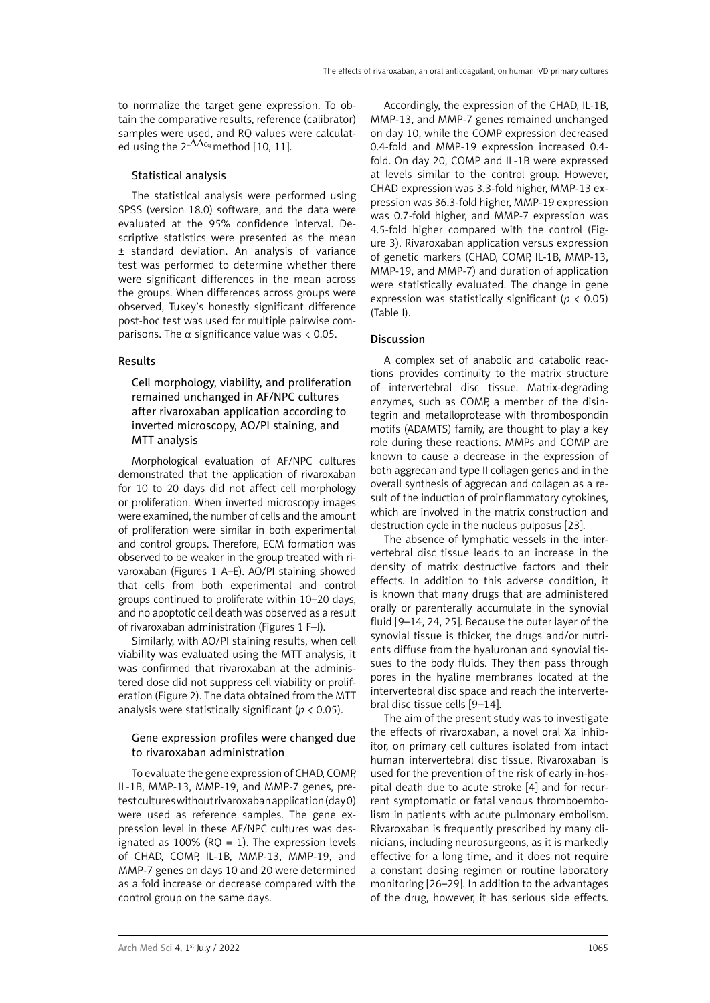to normalize the target gene expression. To obtain the comparative results, reference (calibrator) samples were used, and RQ values were calculated using the  $2-\Delta\Delta c_q$  method [10, 11].

# Statistical analysis

The statistical analysis were performed using SPSS (version 18.0) software, and the data were evaluated at the 95% confidence interval. Descriptive statistics were presented as the mean ± standard deviation. An analysis of variance test was performed to determine whether there were significant differences in the mean across the groups. When differences across groups were observed, Tukey's honestly significant difference post-hoc test was used for multiple pairwise comparisons. The  $\alpha$  significance value was < 0.05.

# Results

Cell morphology, viability, and proliferation remained unchanged in AF/NPC cultures after rivaroxaban application according to inverted microscopy, AO/PI staining, and MTT analysis

Morphological evaluation of AF/NPC cultures demonstrated that the application of rivaroxaban for 10 to 20 days did not affect cell morphology or proliferation. When inverted microscopy images were examined, the number of cells and the amount of proliferation were similar in both experimental and control groups. Therefore, ECM formation was observed to be weaker in the group treated with rivaroxaban (Figures 1 A–E). AO/PI staining showed that cells from both experimental and control groups continued to proliferate within 10–20 days, and no apoptotic cell death was observed as a result of rivaroxaban administration (Figures 1 F–J).

Similarly, with AO/PI staining results, when cell viability was evaluated using the MTT analysis, it was confirmed that rivaroxaban at the administered dose did not suppress cell viability or proliferation (Figure 2). The data obtained from the MTT analysis were statistically significant (*p* < 0.05).

## Gene expression profiles were changed due to rivaroxaban administration

To evaluate the gene expression of CHAD, COMP, IL-1B, MMP-13, MMP-19, and MMP-7 genes, pretest cultures without rivaroxaban application (day 0) were used as reference samples. The gene expression level in these AF/NPC cultures was designated as 100% ( $RQ = 1$ ). The expression levels of CHAD, COMP, IL-1B, MMP-13, MMP-19, and MMP-7 genes on days 10 and 20 were determined as a fold increase or decrease compared with the control group on the same days.

Accordingly, the expression of the CHAD, IL-1B, MMP-13, and MMP-7 genes remained unchanged on day 10, while the COMP expression decreased 0.4-fold and MMP-19 expression increased 0.4 fold. On day 20, COMP and IL-1B were expressed at levels similar to the control group. However, CHAD expression was 3.3-fold higher, MMP-13 expression was 36.3-fold higher, MMP-19 expression was 0.7-fold higher, and MMP-7 expression was 4.5-fold higher compared with the control (Figure 3). Rivaroxaban application versus expression of genetic markers (CHAD, COMP, IL-1B, MMP-13, MMP-19, and MMP-7) and duration of application were statistically evaluated. The change in gene expression was statistically significant (*p* < 0.05) (Table I).

# Discussion

A complex set of anabolic and catabolic reactions provides continuity to the matrix structure of intervertebral disc tissue. Matrix-degrading enzymes, such as COMP, a member of the disintegrin and metalloprotease with thrombospondin motifs (ADAMTS) family, are thought to play a key role during these reactions. MMPs and COMP are known to cause a decrease in the expression of both aggrecan and type II collagen genes and in the overall synthesis of aggrecan and collagen as a result of the induction of proinflammatory cytokines, which are involved in the matrix construction and destruction cycle in the nucleus pulposus [23].

The absence of lymphatic vessels in the intervertebral disc tissue leads to an increase in the density of matrix destructive factors and their effects. In addition to this adverse condition, it is known that many drugs that are administered orally or parenterally accumulate in the synovial fluid [9–14, 24, 25]. Because the outer layer of the synovial tissue is thicker, the drugs and/or nutrients diffuse from the hyaluronan and synovial tissues to the body fluids. They then pass through pores in the hyaline membranes located at the intervertebral disc space and reach the intervertebral disc tissue cells [9–14].

The aim of the present study was to investigate the effects of rivaroxaban, a novel oral Xa inhibitor, on primary cell cultures isolated from intact human intervertebral disc tissue. Rivaroxaban is used for the prevention of the risk of early in-hospital death due to acute stroke [4] and for recurrent symptomatic or fatal venous thromboembolism in patients with acute pulmonary embolism. Rivaroxaban is frequently prescribed by many clinicians, including neurosurgeons, as it is markedly effective for a long time, and it does not require a constant dosing regimen or routine laboratory monitoring [26–29]. In addition to the advantages of the drug, however, it has serious side effects.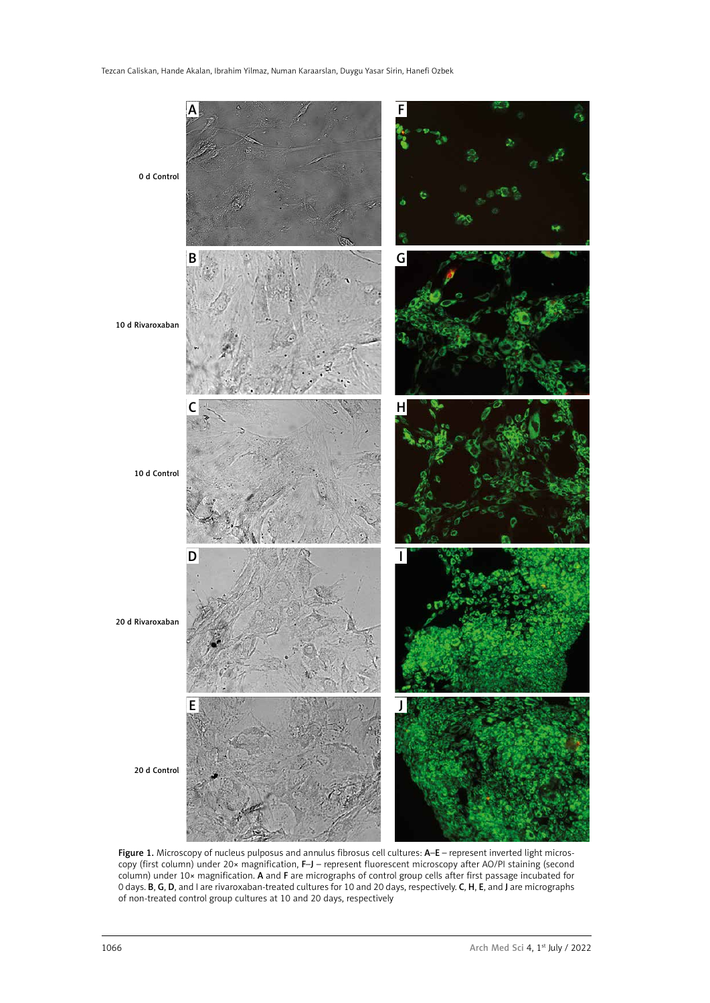

Figure 1. Microscopy of nucleus pulposus and annulus fibrosus cell cultures: A-E – represent inverted light microscopy (first column) under 20x magnification, F–J – represent fluorescent microscopy after AO/PI staining (second column) under 10× magnification. A and F are micrographs of control group cells after first passage incubated for 0 days. **B, G, D,** and I are rivaroxaban-treated cultures for 10 and 20 days, respectively. **C, H, E**, and J are micrographs of non-treated control group cultures at 10 and 20 days, respectively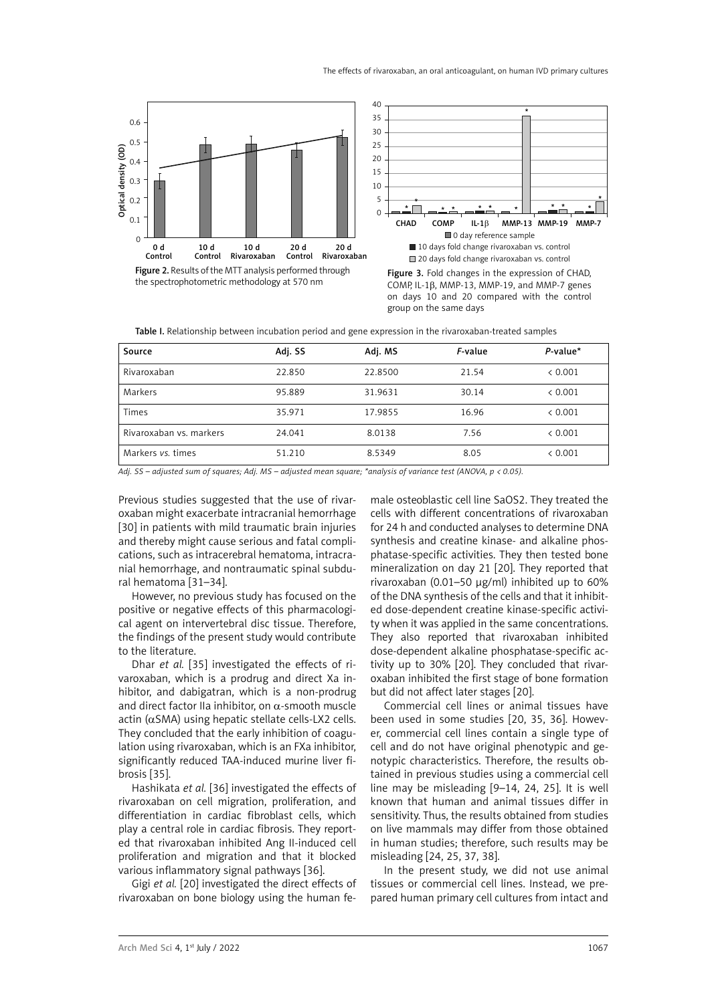





Figure 3. Fold changes in the expression of CHAD, COMP, IL-1b, MMP-13, MMP-19, and MMP-7 genes on days 10 and 20 compared with the control group on the same days

Table I. Relationship between incubation period and gene expression in the rivaroxaban-treated samples

| Source                  | Adj. SS | Adj. MS | F-value | $P$ -value* |
|-------------------------|---------|---------|---------|-------------|
| Rivaroxaban             | 22.850  | 22.8500 | 21.54   | < 0.001     |
| Markers                 | 95.889  | 31.9631 | 30.14   | < 0.001     |
| Times                   | 35.971  | 17.9855 | 16.96   | < 0.001     |
| Rivaroxaban vs. markers | 24.041  | 8.0138  | 7.56    | < 0.001     |
| Markers vs. times       | 51.210  | 8.5349  | 8.05    | < 0.001     |

*Adj. SS – adjusted sum of squares; Adj. MS – adjusted mean square; \*analysis of variance test (ANOVA, p < 0.05).*

Previous studies suggested that the use of rivaroxaban might exacerbate intracranial hemorrhage [30] in patients with mild traumatic brain injuries and thereby might cause serious and fatal complications, such as intracerebral hematoma, intracranial hemorrhage, and nontraumatic spinal subdural hematoma [31–34].

However, no previous study has focused on the positive or negative effects of this pharmacological agent on intervertebral disc tissue. Therefore, the findings of the present study would contribute to the literature.

Dhar *et al.* [35] investigated the effects of rivaroxaban, which is a prodrug and direct Xa inhibitor, and dabigatran, which is a non-prodrug and direct factor IIa inhibitor, on  $\alpha$ -smooth muscle actin (αSMA) using hepatic stellate cells-LX2 cells. They concluded that the early inhibition of coagulation using rivaroxaban, which is an FXa inhibitor, significantly reduced TAA-induced murine liver fibrosis [35].

Hashikata *et al.* [36] investigated the effects of rivaroxaban on cell migration, proliferation, and differentiation in cardiac fibroblast cells, which play a central role in cardiac fibrosis. They reported that rivaroxaban inhibited Ang II-induced cell proliferation and migration and that it blocked various inflammatory signal pathways [36].

Gigi *et al.* [20] investigated the direct effects of rivaroxaban on bone biology using the human fe-

male osteoblastic cell line SaOS2. They treated the cells with different concentrations of rivaroxaban for 24 h and conducted analyses to determine DNA synthesis and creatine kinase- and alkaline phosphatase-specific activities. They then tested bone mineralization on day 21 [20]. They reported that rivaroxaban (0.01–50 µg/ml) inhibited up to 60% of the DNA synthesis of the cells and that it inhibited dose-dependent creatine kinase-specific activity when it was applied in the same concentrations. They also reported that rivaroxaban inhibited dose-dependent alkaline phosphatase-specific activity up to 30% [20]. They concluded that rivaroxaban inhibited the first stage of bone formation but did not affect later stages [20].

Commercial cell lines or animal tissues have been used in some studies [20, 35, 36]. However, commercial cell lines contain a single type of cell and do not have original phenotypic and genotypic characteristics. Therefore, the results obtained in previous studies using a commercial cell line may be misleading [9–14, 24, 25]. It is well known that human and animal tissues differ in sensitivity. Thus, the results obtained from studies on live mammals may differ from those obtained in human studies; therefore, such results may be misleading [24, 25, 37, 38].

In the present study, we did not use animal tissues or commercial cell lines. Instead, we prepared human primary cell cultures from intact and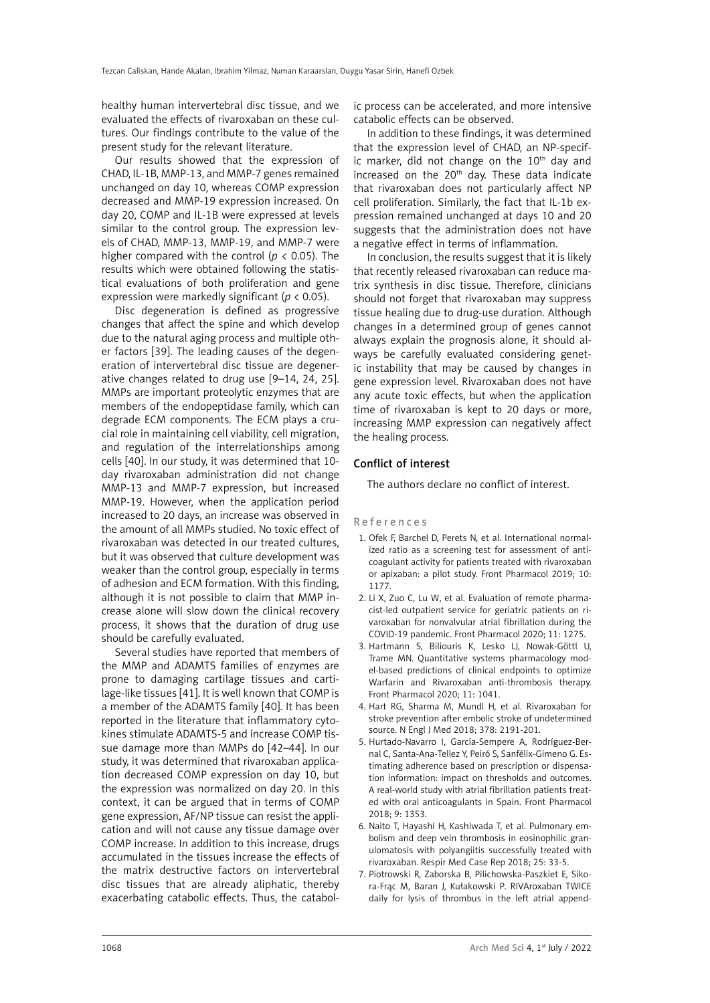healthy human intervertebral disc tissue, and we evaluated the effects of rivaroxaban on these cultures. Our findings contribute to the value of the present study for the relevant literature.

Our results showed that the expression of CHAD, IL-1B, MMP-13, and MMP-7 genes remained unchanged on day 10, whereas COMP expression decreased and MMP-19 expression increased. On day 20, COMP and IL-1B were expressed at levels similar to the control group. The expression levels of CHAD, MMP-13, MMP-19, and MMP-7 were higher compared with the control ( $p < 0.05$ ). The results which were obtained following the statistical evaluations of both proliferation and gene expression were markedly significant (*p* < 0.05).

Disc degeneration is defined as progressive changes that affect the spine and which develop due to the natural aging process and multiple other factors [39]. The leading causes of the degeneration of intervertebral disc tissue are degenerative changes related to drug use [9–14, 24, 25]. MMPs are important proteolytic enzymes that are members of the endopeptidase family, which can degrade ECM components. The ECM plays a crucial role in maintaining cell viability, cell migration, and regulation of the interrelationships among cells [40]. In our study, it was determined that 10 day rivaroxaban administration did not change MMP-13 and MMP-7 expression, but increased MMP-19. However, when the application period increased to 20 days, an increase was observed in the amount of all MMPs studied. No toxic effect of rivaroxaban was detected in our treated cultures, but it was observed that culture development was weaker than the control group, especially in terms of adhesion and ECM formation. With this finding, although it is not possible to claim that MMP increase alone will slow down the clinical recovery process, it shows that the duration of drug use should be carefully evaluated.

Several studies have reported that members of the MMP and ADAMTS families of enzymes are prone to damaging cartilage tissues and cartilage-like tissues [41]. It is well known that COMP is a member of the ADAMTS family [40]. It has been reported in the literature that inflammatory cytokines stimulate ADAMTS-5 and increase COMP tissue damage more than MMPs do [42–44]. In our study, it was determined that rivaroxaban application decreased COMP expression on day 10, but the expression was normalized on day 20. In this context, it can be argued that in terms of COMP gene expression, AF/NP tissue can resist the application and will not cause any tissue damage over COMP increase. In addition to this increase, drugs accumulated in the tissues increase the effects of the matrix destructive factors on intervertebral disc tissues that are already aliphatic, thereby exacerbating catabolic effects. Thus, the catabolic process can be accelerated, and more intensive catabolic effects can be observed.

In addition to these findings, it was determined that the expression level of CHAD, an NP-specific marker, did not change on the  $10<sup>th</sup>$  day and increased on the 20<sup>th</sup> day. These data indicate that rivaroxaban does not particularly affect NP cell proliferation. Similarly, the fact that IL-1b expression remained unchanged at days 10 and 20 suggests that the administration does not have a negative effect in terms of inflammation.

In conclusion, the results suggest that it is likely that recently released rivaroxaban can reduce matrix synthesis in disc tissue. Therefore, clinicians should not forget that rivaroxaban may suppress tissue healing due to drug-use duration. Although changes in a determined group of genes cannot always explain the prognosis alone, it should always be carefully evaluated considering genetic instability that may be caused by changes in gene expression level. Rivaroxaban does not have any acute toxic effects, but when the application time of rivaroxaban is kept to 20 days or more, increasing MMP expression can negatively affect the healing process.

### Conflict of interest

The authors declare no conflict of interest.

#### References

- 1. Ofek F, Barchel D, Perets N, et al. International normalized ratio as a screening test for assessment of anticoagulant activity for patients treated with rivaroxaban or apixaban: a pilot study. Front Pharmacol 2019; 10: 1177.
- 2. Li X, Zuo C, Lu W, et al. Evaluation of remote pharmacist-led outpatient service for geriatric patients on rivaroxaban for nonvalvular atrial fibrillation during the COVID-19 pandemic. Front Pharmacol 2020; 11: 1275.
- 3. Hartmann S, Biliouris K, Lesko LJ, Nowak-Göttl U, Trame MN. Quantitative systems pharmacology model-based predictions of clinical endpoints to optimize Warfarin and Rivaroxaban anti-thrombosis therapy. Front Pharmacol 2020; 11: 1041.
- 4. Hart RG, Sharma M, Mundl H, et al. Rivaroxaban for stroke prevention after embolic stroke of undetermined source. N Engl J Med 2018; 378: 2191-201.
- 5. Hurtado-Navarro I, García-Sempere A, Rodríguez-Bernal C, Santa-Ana-Tellez Y, Peiró S, Sanfélix-Gimeno G. Estimating adherence based on prescription or dispensation information: impact on thresholds and outcomes. A real-world study with atrial fibrillation patients treated with oral anticoagulants in Spain. Front Pharmacol 2018; 9: 1353.
- 6. Naito T, Hayashi H, Kashiwada T, et al. Pulmonary embolism and deep vein thrombosis in eosinophilic granulomatosis with polyangiitis successfully treated with rivaroxaban. Respir Med Case Rep 2018; 25: 33-5.
- 7. Piotrowski R, Zaborska B, Pilichowska-Paszkiet E, Sikora-Frąc M, Baran J, Kułakowski P. RIVAroxaban TWICE daily for lysis of thrombus in the left atrial append-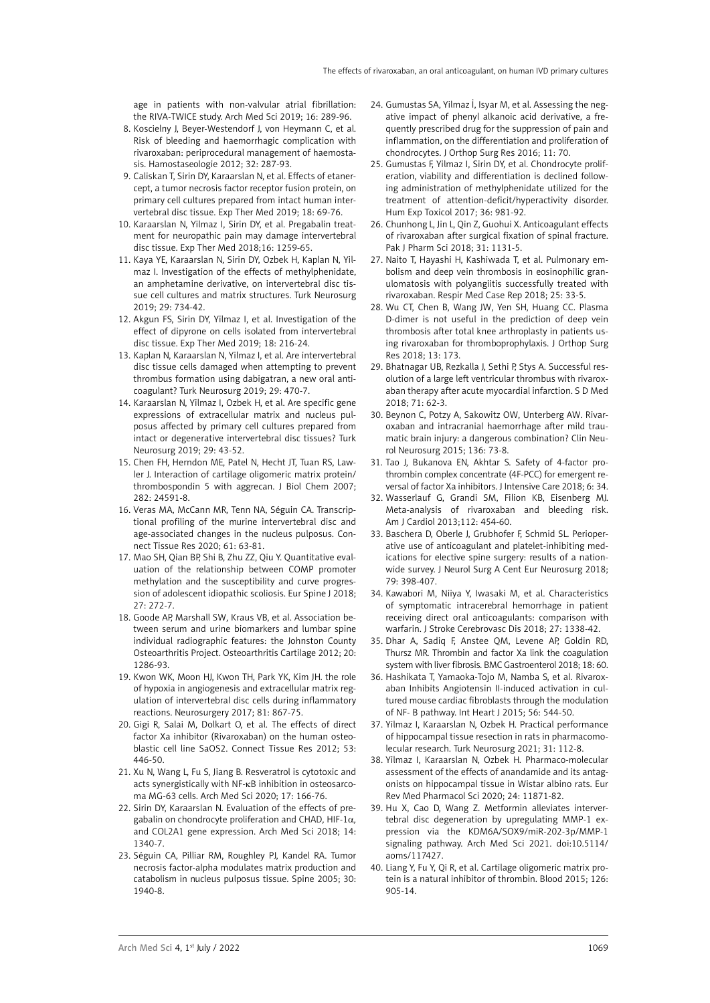age in patients with non-valvular atrial fibrillation: the RIVA-TWICE study. Arch Med Sci 2019; 16: 289-96.

- 8. Koscielny J, Beyer-Westendorf J, von Heymann C, et al. Risk of bleeding and haemorrhagic complication with rivaroxaban: periprocedural management of haemostasis. Hamostaseologie 2012; 32: 287-93.
- 9. Caliskan T, Sirin DY, Karaarslan N, et al. Effects of etanercept, a tumor necrosis factor receptor fusion protein, on primary cell cultures prepared from intact human intervertebral disc tissue. Exp Ther Med 2019; 18: 69-76.
- 10. Karaarslan N, Yilmaz I, Sirin DY, et al. Pregabalin treatment for neuropathic pain may damage intervertebral disc tissue. Exp Ther Med 2018;16: 1259-65.
- 11. Kaya YE, Karaarslan N, Sirin DY, Ozbek H, Kaplan N, Yilmaz I. Investigation of the effects of methylphenidate, an amphetamine derivative, on intervertebral disc tissue cell cultures and matrix structures. Turk Neurosurg 2019; 29: 734-42.
- 12. Akgun FS, Sirin DY, Yilmaz I, et al. Investigation of the effect of dipyrone on cells isolated from intervertebral disc tissue. Exp Ther Med 2019; 18: 216-24.
- 13. Kaplan N, Karaarslan N, Yilmaz I, et al. Are intervertebral disc tissue cells damaged when attempting to prevent thrombus formation using dabigatran, a new oral anticoagulant? Turk Neurosurg 2019; 29: 470-7.
- 14. Karaarslan N, Yilmaz I, Ozbek H, et al. Are specific gene expressions of extracellular matrix and nucleus pulposus affected by primary cell cultures prepared from intact or degenerative intervertebral disc tissues? Turk Neurosurg 2019; 29: 43-52.
- 15. Chen FH, Herndon ME, Patel N, Hecht JT, Tuan RS, Lawler J. Interaction of cartilage oligomeric matrix protein/ thrombospondin 5 with aggrecan. J Biol Chem 2007; 282: 24591-8.
- 16. Veras MA, McCann MR, Tenn NA, Séguin CA. Transcriptional profiling of the murine intervertebral disc and age-associated changes in the nucleus pulposus. Connect Tissue Res 2020; 61: 63-81.
- 17. Mao SH, Qian BP, Shi B, Zhu ZZ, Qiu Y. Quantitative evaluation of the relationship between COMP promoter methylation and the susceptibility and curve progression of adolescent idiopathic scoliosis. Eur Spine J 2018; 27: 272-7.
- 18. Goode AP, Marshall SW, Kraus VB, et al. Association between serum and urine biomarkers and lumbar spine individual radiographic features: the Johnston County Osteoarthritis Project. Osteoarthritis Cartilage 2012; 20: 1286-93.
- 19. Kwon WK, Moon HJ, Kwon TH, Park YK, Kim JH. the role of hypoxia in angiogenesis and extracellular matrix regulation of intervertebral disc cells during inflammatory reactions. Neurosurgery 2017; 81: 867-75.
- 20. Gigi R, Salai M, Dolkart O, et al. The effects of direct factor Xa inhibitor (Rivaroxaban) on the human osteoblastic cell line SaOS2. Connect Tissue Res 2012; 53: 446-50.
- 21. Xu N, Wang L, Fu S, Jiang B. Resveratrol is cytotoxic and acts synergistically with NF-κB inhibition in osteosarcoma MG-63 cells. Arch Med Sci 2020; 17: 166-76.
- 22. Sirin DY, Karaarslan N. Evaluation of the effects of pregabalin on chondrocyte proliferation and CHAD*,* HIF-1α*,*  and COL2A1 gene expression. Arch Med Sci 2018; 14: 1340-7.
- 23. Séguin CA, Pilliar RM, Roughley PJ, Kandel RA. Tumor necrosis factor-alpha modulates matrix production and catabolism in nucleus pulposus tissue. Spine 2005; 30: 1940-8.
- 24. Gumustas SA, Yilmaz İ, Isyar M, et al. Assessing the negative impact of phenyl alkanoic acid derivative, a frequently prescribed drug for the suppression of pain and inflammation, on the differentiation and proliferation of chondrocytes. J Orthop Surg Res 2016; 11: 70.
- 25. Gumustas F, Yilmaz I, Sirin DY, et al. Chondrocyte proliferation, viability and differentiation is declined following administration of methylphenidate utilized for the treatment of attention-deficit/hyperactivity disorder. Hum Exp Toxicol 2017; 36: 981-92.
- 26. Chunhong L, Jin L, Qin Z, Guohui X. Anticoagulant effects of rivaroxaban after surgical fixation of spinal fracture. Pak J Pharm Sci 2018; 31: 1131-5.
- 27. Naito T, Hayashi H, Kashiwada T, et al. Pulmonary embolism and deep vein thrombosis in eosinophilic granulomatosis with polyangiitis successfully treated with rivaroxaban. Respir Med Case Rep 2018; 25: 33-5.
- 28. Wu CT, Chen B, Wang JW, Yen SH, Huang CC. Plasma D-dimer is not useful in the prediction of deep vein thrombosis after total knee arthroplasty in patients using rivaroxaban for thromboprophylaxis. J Orthop Surg Res 2018; 13: 173.
- 29. Bhatnagar UB, Rezkalla J, Sethi P, Stys A. Successful resolution of a large left ventricular thrombus with rivaroxaban therapy after acute myocardial infarction. S D Med 2018; 71: 62-3.
- 30. Beynon C, Potzy A, Sakowitz OW, Unterberg AW. Rivaroxaban and intracranial haemorrhage after mild traumatic brain injury: a dangerous combination? Clin Neurol Neurosurg 2015; 136: 73-8.
- 31. Tao J, Bukanova EN, Akhtar S. Safety of 4-factor prothrombin complex concentrate (4F-PCC) for emergent reversal of factor Xa inhibitors. J Intensive Care 2018; 6: 34.
- 32. Wasserlauf G, Grandi SM, Filion KB, Eisenberg MJ. Meta-analysis of rivaroxaban and bleeding risk. Am J Cardiol 2013;112: 454-60.
- 33. Baschera D, Oberle J, Grubhofer F, Schmid SL. Perioperative use of anticoagulant and platelet-inhibiting medications for elective spine surgery: results of a nationwide survey. J Neurol Surg A Cent Eur Neurosurg 2018; 79: 398-407.
- 34. Kawabori M, Niiya Y, Iwasaki M, et al. Characteristics of symptomatic intracerebral hemorrhage in patient receiving direct oral anticoagulants: comparison with warfarin. J Stroke Cerebrovasc Dis 2018; 27: 1338-42.
- 35. Dhar A, Sadiq F, Anstee QM, Levene AP, Goldin RD, Thursz MR. Thrombin and factor Xa link the coagulation system with liver fibrosis. BMC Gastroenterol 2018; 18: 60.
- 36. Hashikata T, Yamaoka-Tojo M, Namba S, et al. Rivaroxaban Inhibits Angiotensin II-induced activation in cultured mouse cardiac fibroblasts through the modulation of NF- B pathway. Int Heart J 2015: 56: 544-50.
- 37. Yilmaz I, Karaarslan N, Ozbek H. Practical performance of hippocampal tissue resection in rats in pharmacomolecular research. Turk Neurosurg 2021; 31: 112-8.
- 38. Yilmaz I, Karaarslan N, Ozbek H. Pharmaco-molecular assessment of the effects of anandamide and its antagonists on hippocampal tissue in Wistar albino rats. Eur Rev Med Pharmacol Sci 2020; 24: 11871-82.
- 39. Hu X, Cao D, Wang Z. Metformin alleviates intervertebral disc degeneration by upregulating MMP-1 expression via the KDM6A/SOX9/miR-202-3p/MMP-1 signaling pathway. Arch Med Sci 2021. doi:10.5114/ aoms/117427.
- 40. Liang Y, Fu Y, Qi R, et al. Cartilage oligomeric matrix protein is a natural inhibitor of thrombin. Blood 2015; 126: 905-14.